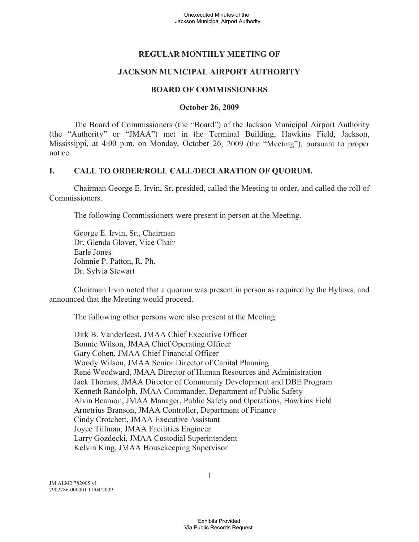# **REGULAR MONTHLY MEETING OF**

### **JACKSON MUNICIPAL AIRPORT AUTHORITY**

#### **BOARD OF COMMISSIONERS**

#### **October 26, 2009**

The Board of Commissioners (the "Board") of the Jackson Municipal Airport Authority (the "Authority" or "JMAA") met in the Terminal Building, Hawkins Field, Jackson, Mississippi, at 4:00 p.m. on Monday, October 26, 2009 (the "Meeting"), pursuant to proper notice.

### **I. CALL TO ORDER/ROLL CALL/DECLARATION OF QUORUM.**

Chairman George E. Irvin, Sr. presided, called the Meeting to order, and called the roll of Commissioners.

The following Commissioners were present in person at the Meeting.

George E. Irvin, Sr., Chairman Dr. Glenda Glover, Vice Chair Earle Jones Johnnie P. Patton, R. Ph. Dr. Sylvia Stewart

Chairman Irvin noted that a quorum was present in person as required by the Bylaws, and announced that the Meeting would proceed.

The following other persons were also present at the Meeting.

Dirk B. Vanderleest, JMAA Chief Executive Officer Bonnie Wilson, JMAA Chief Operating Officer Gary Cohen, JMAA Chief Financial Officer Woody Wilson, JMAA Senior Director of Capital Planning René Woodward, JMAA Director of Human Resources and Administration Jack Thomas, JMAA Director of Community Development and DBE Program Kenneth Randolph, JMAA Commander, Department of Public Safety Alvin Beamon, JMAA Manager, Public Safety and Operations, Hawkins Field Arnetrius Branson, JMAA Controller, Department of Finance Cindy Crotchett, JMAA Executive Assistant Joyce Tillman, JMAA Facilities Engineer Larry Gozdecki, JMAA Custodial Superintendent Kelvin King, JMAA Housekeeping Supervisor

JM ALM2 782005 v1 2902786-000001 11/04/2009 1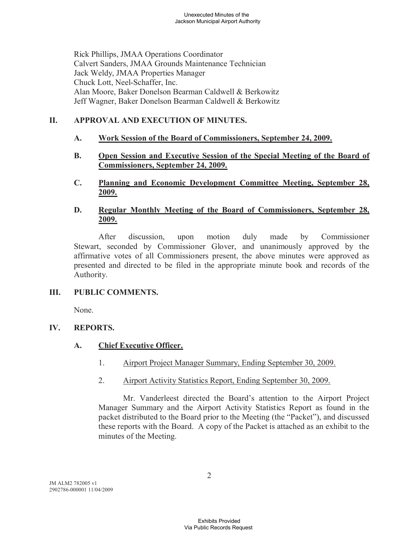Rick Phillips, JMAA Operations Coordinator Calvert Sanders, JMAA Grounds Maintenance Technician Jack Weldy, JMAA Properties Manager Chuck Lott, Neel-Schaffer, Inc. Alan Moore, Baker Donelson Bearman Caldwell & Berkowitz Jeff Wagner, Baker Donelson Bearman Caldwell & Berkowitz

# **II. APPROVAL AND EXECUTION OF MINUTES.**

- **A. Work Session of the Board of Commissioners, September 24, 2009.**
- **B. Open Session and Executive Session of the Special Meeting of the Board of Commissioners, September 24, 2009.**
- **C. Planning and Economic Development Committee Meeting, September 28, 2009.**
- **D. Regular Monthly Meeting of the Board of Commissioners, September 28, 2009.**

After discussion, upon motion duly made by Commissioner Stewart, seconded by Commissioner Glover, and unanimously approved by the affirmative votes of all Commissioners present, the above minutes were approved as presented and directed to be filed in the appropriate minute book and records of the Authority.

# **III. PUBLIC COMMENTS.**

None.

# **IV. REPORTS.**

# **A. Chief Executive Officer.**

- 1. Airport Project Manager Summary, Ending September 30, 2009.
- 2. Airport Activity Statistics Report, Ending September 30, 2009.

Mr. Vanderleest directed the Board's attention to the Airport Project Manager Summary and the Airport Activity Statistics Report as found in the packet distributed to the Board prior to the Meeting (the "Packet"), and discussed these reports with the Board. A copy of the Packet is attached as an exhibit to the minutes of the Meeting.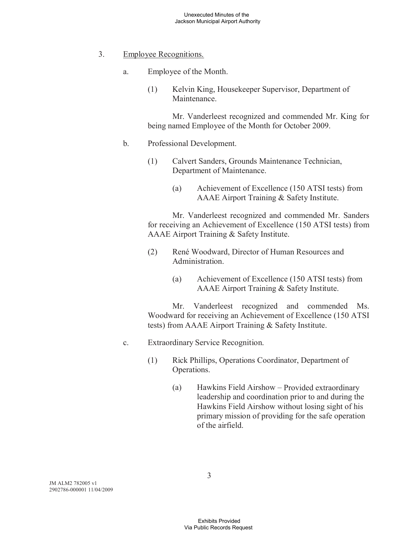- 3. Employee Recognitions.
	- a. Employee of the Month.
		- (1) Kelvin King, Housekeeper Supervisor, Department of Maintenance.

Mr. Vanderleest recognized and commended Mr. King for being named Employee of the Month for October 2009.

- b. Professional Development.
	- (1) Calvert Sanders, Grounds Maintenance Technician, Department of Maintenance.
		- (a) Achievement of Excellence (150 ATSI tests) from AAAE Airport Training & Safety Institute.

Mr. Vanderleest recognized and commended Mr. Sanders for receiving an Achievement of Excellence (150 ATSI tests) from AAAE Airport Training & Safety Institute.

- (2) René Woodward, Director of Human Resources and Administration.
	- (a) Achievement of Excellence (150 ATSI tests) from AAAE Airport Training & Safety Institute.

Mr. Vanderleest recognized and commended Ms. Woodward for receiving an Achievement of Excellence (150 ATSI tests) from AAAE Airport Training & Safety Institute.

- c. Extraordinary Service Recognition.
	- (1) Rick Phillips, Operations Coordinator, Department of Operations.
		- (a) Hawkins Field Airshow Provided extraordinary leadership and coordination prior to and during the Hawkins Field Airshow without losing sight of his primary mission of providing for the safe operation of the airfield.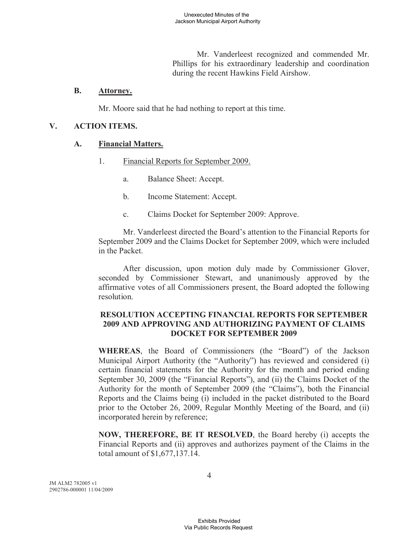Mr. Vanderleest recognized and commended Mr. Phillips for his extraordinary leadership and coordination during the recent Hawkins Field Airshow.

#### **B. Attorney.**

Mr. Moore said that he had nothing to report at this time.

#### **V. ACTION ITEMS.**

#### **A. Financial Matters.**

- 1. Financial Reports for September 2009.
	- a. Balance Sheet: Accept.
	- b. Income Statement: Accept.
	- c. Claims Docket for September 2009: Approve.

Mr. Vanderleest directed the Board's attention to the Financial Reports for September 2009 and the Claims Docket for September 2009, which were included in the Packet.

After discussion, upon motion duly made by Commissioner Glover, seconded by Commissioner Stewart, and unanimously approved by the affirmative votes of all Commissioners present, the Board adopted the following resolution.

### **RESOLUTION ACCEPTING FINANCIAL REPORTS FOR SEPTEMBER 2009 AND APPROVING AND AUTHORIZING PAYMENT OF CLAIMS DOCKET FOR SEPTEMBER 2009**

**WHEREAS**, the Board of Commissioners (the "Board") of the Jackson Municipal Airport Authority (the "Authority") has reviewed and considered (i) certain financial statements for the Authority for the month and period ending September 30, 2009 (the "Financial Reports"), and (ii) the Claims Docket of the Authority for the month of September 2009 (the "Claims"), both the Financial Reports and the Claims being (i) included in the packet distributed to the Board prior to the October 26, 2009, Regular Monthly Meeting of the Board, and (ii) incorporated herein by reference;

**NOW, THEREFORE, BE IT RESOLVED**, the Board hereby (i) accepts the Financial Reports and (ii) approves and authorizes payment of the Claims in the total amount of \$1,677,137.14.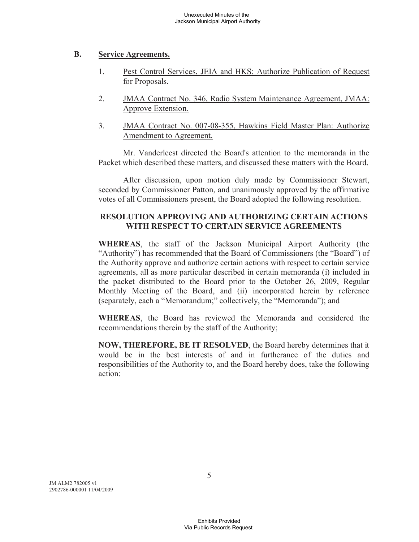#### **B. Service Agreements.**

- 1. Pest Control Services, JEIA and HKS: Authorize Publication of Request for Proposals.
- 2. JMAA Contract No. 346, Radio System Maintenance Agreement, JMAA: Approve Extension.
- 3. JMAA Contract No. 007-08-355, Hawkins Field Master Plan: Authorize Amendment to Agreement.

Mr. Vanderleest directed the Board's attention to the memoranda in the Packet which described these matters, and discussed these matters with the Board.

After discussion, upon motion duly made by Commissioner Stewart, seconded by Commissioner Patton, and unanimously approved by the affirmative votes of all Commissioners present, the Board adopted the following resolution.

# **RESOLUTION APPROVING AND AUTHORIZING CERTAIN ACTIONS WITH RESPECT TO CERTAIN SERVICE AGREEMENTS**

**WHEREAS**, the staff of the Jackson Municipal Airport Authority (the "Authority") has recommended that the Board of Commissioners (the "Board") of the Authority approve and authorize certain actions with respect to certain service agreements, all as more particular described in certain memoranda (i) included in the packet distributed to the Board prior to the October 26, 2009, Regular Monthly Meeting of the Board, and (ii) incorporated herein by reference (separately, each a "Memorandum;" collectively, the "Memoranda"); and

**WHEREAS**, the Board has reviewed the Memoranda and considered the recommendations therein by the staff of the Authority;

**NOW, THEREFORE, BE IT RESOLVED**, the Board hereby determines that it would be in the best interests of and in furtherance of the duties and responsibilities of the Authority to, and the Board hereby does, take the following action:

JM ALM2 782005 v1 2902786-000001 11/04/2009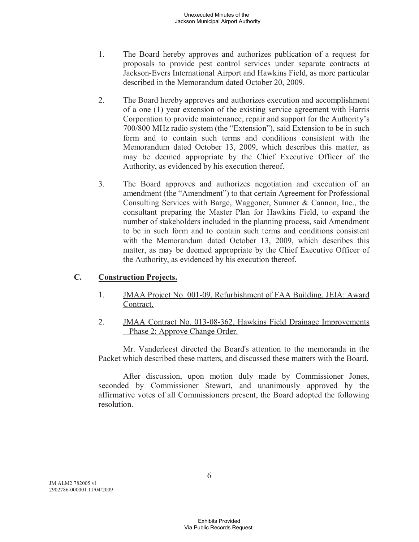- 1. The Board hereby approves and authorizes publication of a request for proposals to provide pest control services under separate contracts at Jackson-Evers International Airport and Hawkins Field, as more particular described in the Memorandum dated October 20, 2009.
- 2. The Board hereby approves and authorizes execution and accomplishment of a one (1) year extension of the existing service agreement with Harris Corporation to provide maintenance, repair and support for the Authority's 700/800 MHz radio system (the "Extension"), said Extension to be in such form and to contain such terms and conditions consistent with the Memorandum dated October 13, 2009, which describes this matter, as may be deemed appropriate by the Chief Executive Officer of the Authority, as evidenced by his execution thereof.
- 3. The Board approves and authorizes negotiation and execution of an amendment (the "Amendment") to that certain Agreement for Professional Consulting Services with Barge, Waggoner, Sumner & Cannon, Inc., the consultant preparing the Master Plan for Hawkins Field, to expand the number of stakeholders included in the planning process, said Amendment to be in such form and to contain such terms and conditions consistent with the Memorandum dated October 13, 2009, which describes this matter, as may be deemed appropriate by the Chief Executive Officer of the Authority, as evidenced by his execution thereof.

# **C. Construction Projects.**

- 1. JMAA Project No. 001-09, Refurbishment of FAA Building, JEIA: Award Contract.
- 2. JMAA Contract No. 013-08-362, Hawkins Field Drainage Improvements – Phase 2: Approve Change Order.

Mr. Vanderleest directed the Board's attention to the memoranda in the Packet which described these matters, and discussed these matters with the Board.

After discussion, upon motion duly made by Commissioner Jones, seconded by Commissioner Stewart, and unanimously approved by the affirmative votes of all Commissioners present, the Board adopted the following resolution.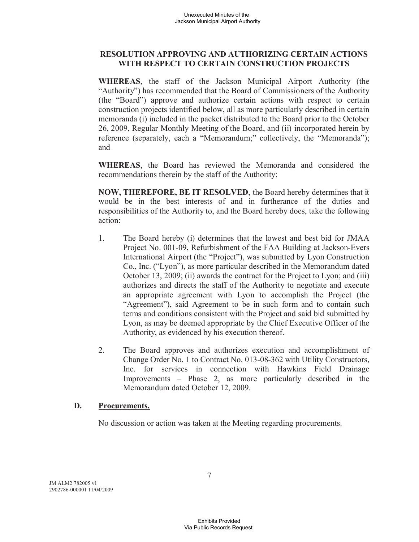### **RESOLUTION APPROVING AND AUTHORIZING CERTAIN ACTIONS WITH RESPECT TO CERTAIN CONSTRUCTION PROJECTS**

**WHEREAS**, the staff of the Jackson Municipal Airport Authority (the "Authority") has recommended that the Board of Commissioners of the Authority (the "Board") approve and authorize certain actions with respect to certain construction projects identified below, all as more particularly described in certain memoranda (i) included in the packet distributed to the Board prior to the October 26, 2009, Regular Monthly Meeting of the Board, and (ii) incorporated herein by reference (separately, each a "Memorandum;" collectively, the "Memoranda"); and

**WHEREAS**, the Board has reviewed the Memoranda and considered the recommendations therein by the staff of the Authority;

**NOW, THEREFORE, BE IT RESOLVED**, the Board hereby determines that it would be in the best interests of and in furtherance of the duties and responsibilities of the Authority to, and the Board hereby does, take the following action:

- 1. The Board hereby (i) determines that the lowest and best bid for JMAA Project No. 001-09, Refurbishment of the FAA Building at Jackson-Evers International Airport (the "Project"), was submitted by Lyon Construction Co., Inc. ("Lyon"), as more particular described in the Memorandum dated October 13, 2009; (ii) awards the contract for the Project to Lyon; and (iii) authorizes and directs the staff of the Authority to negotiate and execute an appropriate agreement with Lyon to accomplish the Project (the "Agreement"), said Agreement to be in such form and to contain such terms and conditions consistent with the Project and said bid submitted by Lyon, as may be deemed appropriate by the Chief Executive Officer of the Authority, as evidenced by his execution thereof.
- 2. The Board approves and authorizes execution and accomplishment of Change Order No. 1 to Contract No. 013-08-362 with Utility Constructors, Inc. for services in connection with Hawkins Field Drainage Improvements – Phase 2, as more particularly described in the Memorandum dated October 12, 2009.

#### **D. Procurements.**

No discussion or action was taken at the Meeting regarding procurements.